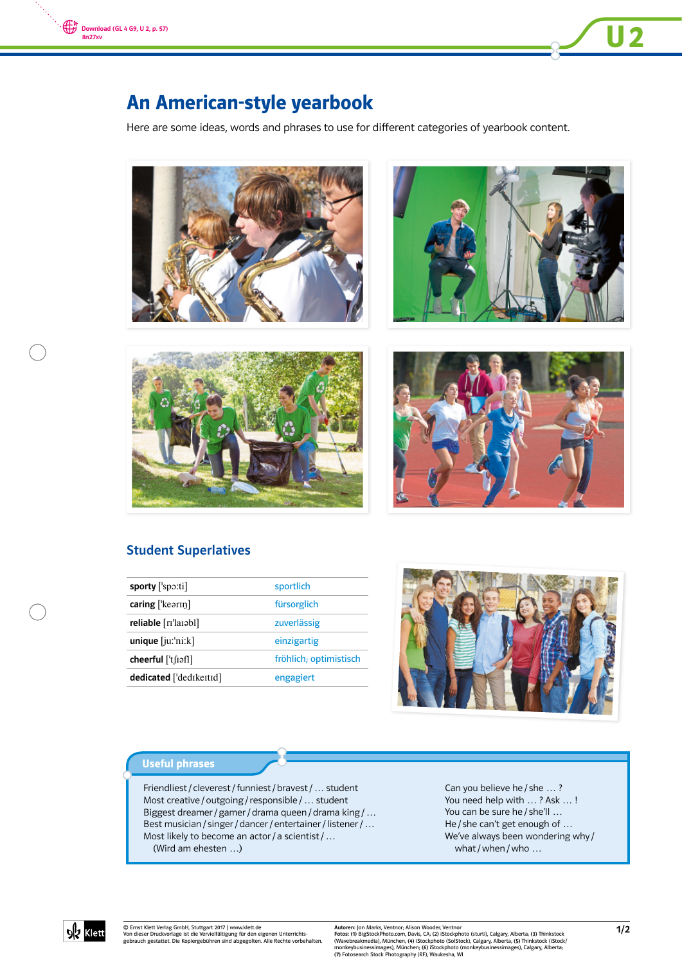



Here are some ideas, words and phrases to use for different categories of yearbook content.





**U2** 





## Student Superlatives

| $\text{caring}$ ['kearin]<br>fürsorglich       |  |
|------------------------------------------------|--|
|                                                |  |
| reliable [rɪˈlaɪəbl]<br>zuverlässig            |  |
| $unique$ [ $ju$ : $'ni$ : $k$ ]<br>einzigartig |  |
| fröhlich; optimistisch<br>cheerful ['t[iəf]]   |  |
| dedicated ['dedikeitid]<br>engagiert           |  |



#### Useful phrases

Friendliest / cleverest / funniest / bravest / … student Most creative / outgoing / responsible / … student Biggest dreamer / gamer / drama queen / drama king / … Best musician / singer / dancer / entertainer / listener / … Most likely to become an actor / a scientist / ... (Wird am ehesten …)

Can you believe he / she … ? You need help with … ? Ask … ! You can be sure he / she'll ... He / she can't get enough of … We've always been wondering why / what / when / who ...



© Ernst Klett Verlag GmbH, Stuttgart 2017 | www.klett.de Von dieser Druckvorlage ist die Vervielfältigung für den eigenen Unterrichts-gebrauch gestattet. Die Kopiergebühren sind abgegolten. Alle Rechte vorbehalten.

Autoren: Jon Marks, Ventnor, Alison Wooder, Ventnor<br>Fotos: (1) BigStockPhoto.com, Davis, CA; (2) iStockphoto (sturti), Calgary, Alberta; (3) Thinkstock<br>(Wavebreakmedia), München; (4) iStockphoto (SolStock), Calgary, Albert